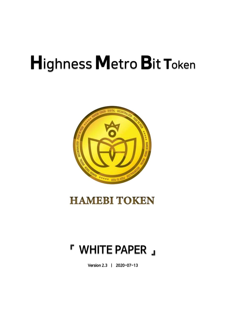# **Highness Metro Bit Token**



## **HAMEBI TOKEN**

## **『 WHITE PAPER 』**

**Version 2.3 | 2020-07-13**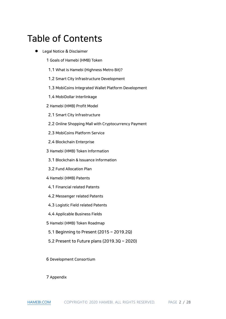## Table of Contents

- ⚫ Legal Notice & Disclaimer
	- 1 Goals of Hamebi (HMB) Token
	- 1.1 What is Hamebi (Highness Metro Bit)?
	- 1.2 Smart City Infrastructure Development
	- 1.3 MobiCoins Integrated Wallet Platform Development
	- 1.4 MobiDollar Interlinkage
	- 2 Hamebi (HMB) Profit Model
	- 2.1 Smart City Infrastructure
	- 2.2 Online Shopping Mall with Cryptocurrency Payment
	- 2.3 MobiCoins Platform Service
	- 2.4 Blockchain Enterprise
	- 3 Hamebi (HMB) Token Information
	- 3.1 Blockchain & Issuance Information
	- 3.2 Fund Allocation Plan
	- 4 Hamebi (HMB) Patents
	- 4.1 Financial related Patents
	- 4.2 Messenger related Patents
	- 4.3 Logistic Field related Patents
	- 4.4 Applicable Business Fields
	- 5 Hamebi (HMB) Token Roadmap
	- 5.1 Beginning to Present (2015 ~ 2019.2Q)
	- 5.2 Present to Future plans (2019.3Q ~ 2020)

6 Development Consortium

7 Appendix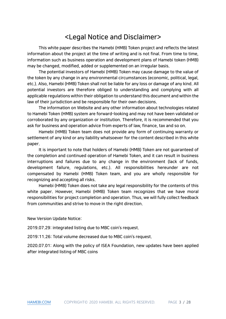## <Legal Notice and Disclaimer>

This white paper describes the Hamebi (HMB) Token project and reflects the latest information about the project at the time of writing and is not final. From time to time, information such as business operation and development plans of Hamebi token (HMB) may be changed, modified, added or supplemented on an irregular basis.

The potential investors of Hamebi (HMB) Token may cause damage to the value of the token by any change in any environmental circumstances (economic, political, legal, etc.). Also, Hamebi (HMB) Token shall not be liable for any loss or damage of any kind. All potential investors are therefore obliged to understanding and complying with all applicable regulations within their obligation to understand this document and within the law of their jurisdiction and be responsible for their own decisions.

The information on Website and any other information about technologies related to Hamebi Token (HMB) system are forward-looking and may not have been validated or corroborated by any organization or institution. Therefore, it is recommended that you ask for business and operation advice from experts of law, finance, tax and so on.

Hamebi (HMB) Token team does not provide any form of continuing warranty or settlement of any kind or any liability whatsoever for the content described in this white paper.

It is important to note that holders of Hamebi (HMB) Token are not guaranteed of the completion and continued operation of Hamebi Token, and it can result in business interruptions and failures due to any change in the environment (lack of funds, development failure, regulations, etc.). All responsibilities hereunder are not compensated by Hamebi (HMB) Token team, and you are wholly responsible for recognizing and accepting all risks.

Hamebi (HMB) Token does not take any legal responsibility for the contents of this white paper. However, Hamebi (HMB) Token team recognizes that we have moral responsibilities for project completion and operation. Thus, we will fully collect feedback from communities and strive to move in the right direction.

New Version Update Notice:

2019.07.29: integrated listing due to MBC coin's request.

2019:11.26: Total volume decreased due to MBC coin's request.

2020.07.01: Along with the policy of ISEA Foundation, new updates have been applied after integrated listing of MBC coins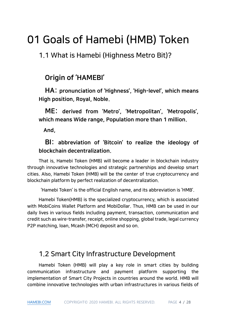## 01 Goals of Hamebi (HMB) Token

1.1 What is Hamebi (Highness Metro Bit)?

## Origin of 'HAMEBI'

HA: pronunciation of 'Highness', 'High-level', which means High position, Royal, Noble.

ME: derived from 'Metro', 'Metropolitan', 'Metropolis', which means Wide range, Population more than 1 million.

And,

## BI: abbreviation of 'Bitcoin' to realize the ideology of blockchain decentralization.

That is, Hamebi Token (HMB) will become a leader in blockchain industry through innovative technologies and strategic partnerships and develop smart cities. Also, Hamebi Token (HMB) will be the center of true cryptocurrency and blockchain platform by perfect realization of decentralization.

'Hamebi Token' is the official English name, and its abbreviation is 'HMB'.

Hamebi Token(HMB) is the specialized cryptocurrency, which is associated with MobiCoins Wallet Platform and MobiDollar. Thus, HMB can be used in our daily lives in various fields including payment, transaction, communication and credit such as wire-transfer, receipt, online shopping, global trade, legal currency P2P matching, loan, Mcash (MCH) deposit and so on.

## 1.2 Smart City Infrastructure Development

Hamebi Token (HMB) will play a key role in smart cities by building communication infrastructure and payment platform supporting the implementation of Smart City Projects in countries around the world. HMB will combine innovative technologies with urban infrastructures in various fields of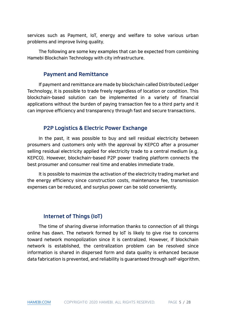services such as Payment, IoT, energy and welfare to solve various urban problems and improve living quality.

The following are some key examples that can be expected from combining Hamebi Blockchain Technology with city infrastructure.

#### Payment and Remittance

If payment and remittance are made by blockchain called Distributed Ledger Technology, it is possible to trade freely regardless of location or condition. This blockchain-based solution can be implemented in a variety of financial applications without the burden of paying transaction fee to a third party and it can improve efficiency and transparency through fast and secure transactions.

### P2P Logistics & Electric Power Exchange

In the past, it was possible to buy and sell residual electricity between prosumers and customers only with the approval by KEPCO after a prosumer selling residual electricity applied for electricity trade to a central medium (e.g. KEPCO). However, blockchain-based P2P power trading platform connects the best prosumer and consumer real time and enables immediate trade.

It is possible to maximize the activation of the electricity trading market and the energy efficiency since construction costs, maintenance fee, transmission expenses can be reduced, and surplus power can be sold conveniently.

## Internet of Things (IoT)

The time of sharing diverse information thanks to connection of all things online has dawn. The network formed by IoT is likely to give rise to concerns toward network monopolization since it is centralized. However, if blockchain network is established, the centralization problem can be resolved since information is shared in dispersed form and data quality is enhanced because data fabrication is prevented, and reliability is guaranteed through self-algorithm.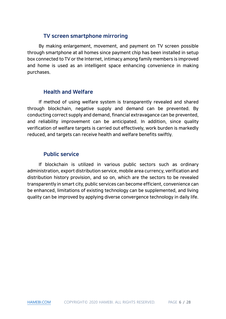## TV screen smartphone mirroring

By making enlargement, movement, and payment on TV screen possible through smartphone at all homes since payment chip has been installed in setup box connected to TV or the Internet, intimacy among family members is improved and home is used as an intelligent space enhancing convenience in making purchases.

## Health and Welfare

If method of using welfare system is transparently revealed and shared through blockchain, negative supply and demand can be prevented. By conducting correct supply and demand, financial extravagance can be prevented, and reliability improvement can be anticipated. In addition, since quality verification of welfare targets is carried out effectively, work burden is markedly reduced, and targets can receive health and welfare benefits swiftly.

## Public service

If blockchain is utilized in various public sectors such as ordinary administration, export distribution service, mobile area currency, verification and distribution history provision, and so on, which are the sectors to be revealed transparently in smart city, public services can become efficient, convenience can be enhanced, limitations of existing technology can be supplemented, and living quality can be improved by applying diverse convergence technology in daily life.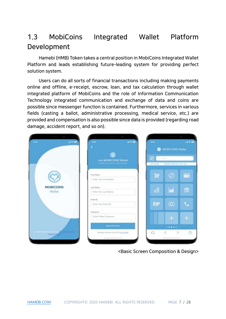## 1.3 MobiCoins Integrated Wallet Platform Development

Hamebi (HMB) Token takes a central position in MobiCoins Integrated Wallet Platform and leads establishing future-leading system for providing perfect solution system.

Users can do all sorts of financial transactions including making payments online and offline, e-receipt, escrow, loan, and tax calculation through wallet integrated platform of MobiCoins and the role of Information Communication Technology integrated communication and exchange of data and coins are possible since messenger function is contained. Furthermore, services in various fields (casting a ballot, administrative processing, medical service, etc.) are provided and compensation is also possible since data is provided (regarding road damage, accident report, and so on).



<Basic Screen Composition & Design>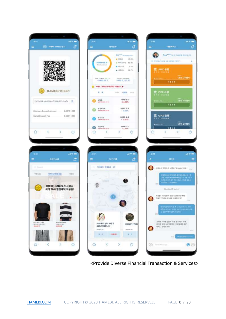



 $-40.50$ 

CHIN SHINH

5전만 모비되지

도전한 모바탕이

 $\circ$ 

 $-40.50$ 

80

5

£?

<Provide Diverse Financial Transaction & Services>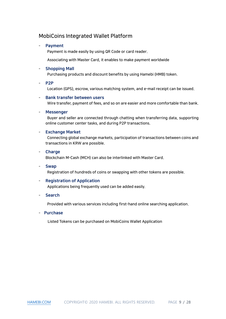### MobiCoins Integrated Wallet Platform

#### **Payment**

Payment is made easily by using QR Code or card reader.

Associating with Master Card, it enables to make payment worldwide

#### **Shopping Mall**

Purchasing products and discount benefits by using Hamebi (HMB) token.

#### - P2P

Location (GPS), escrow, various matching system, and e-mail receipt can be issued.

#### Bank transfer between users

Wire transfer, payment of fees, and so on are easier and more comfortable than bank.

#### **Messenger**

Buyer and seller are connected through chatting when transferring data, supporting online customer center tasks, and during P2P transactions.

#### **Exchange Market**

Connecting global exchange markets, participation of transactions between coins and transactions in KRW are possible.

#### **Charge**

Blockchain M-Cash (MCH) can also be interlinked with Master Card.

#### - Swap

Registration of hundreds of coins or swapping with other tokens are possible.

#### **Registration of Application**

Applications being frequently used can be added easily.

#### **Search**

Provided with various services including first-hand online searching application.

#### - Purchase

Listed Tokens can be purchased on MobiCoins Wallet Application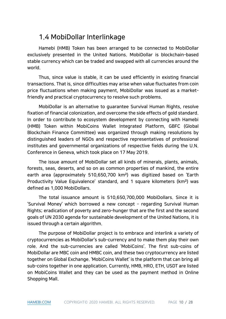## 1.4 MobiDollar Interlinkage

Hamebi (HMB) Token has been arranged to be connected to MobiDollar exclusively presented in the United Nations. MobiDollar is blockchain-based stable currency which can be traded and swapped with all currencies around the world.

Thus, since value is stable, it can be used efficiently in existing financial transactions. That is, since difficulties may arise when value fluctuates from coin price fluctuations when making payment, MobiDollar was issued as a marketfriendly and practical cryptocurrency to resolve such problems.

MobiDollar is an alternative to guarantee Survival Human Rights, resolve fixation of financial colonization, and overcome the side effects of gold standard. In order to contribute to ecosystem development by connecting with Hamebi (HMB) Token within MobiCoins Wallet Integrated Platform, GBFC (Global Blockchain Finance Committee) was organized through making resolutions by distinguished leaders of NGOs and respective representatives of professional institutes and governmental organizations of respective fields during the U.N. Conference in Geneva, which took place on 17 May 2019.

The issue amount of MobiDollar set all kinds of minerals, plants, animals, forests, seas, deserts, and so on as common properties of mankind, the entire earth area (approximately 510,650,700 km²) was digitized based on 'Earth Productivity Value Equivalence' standard, and 1 square kilometers (km²) was defined as 1,000 MobiDollars.

The total issuance amount is 510,650,700,000 MobiDollars. Since it is 'Survival Money' which borrowed a new concept – regarding Survival Human Rights; eradication of poverty and zero-hunger that are the first and the second goals of UN 2030 agenda for sustainable development of the United Nations, it is issued through a certain algorithm.

The purpose of MobiDollar project is to embrace and interlink a variety of cryptocurrencies as MobiDollar's sub-currency and to make them play their own role. And the sub-currencies are called 'MobiCoins'. The first sub-coins of MobiDollar are MBC coin and HMBC coin, and these two cryptocurrency are listed together on Global Exchange. 'MobiCoins Wallet' is the platform that can bring all sub-coins together in one application. Currently, HMB, HRO, ETH, USDT are listed on MobiCoins Wallet and they can be used as the payment method in Online Shopping Mall.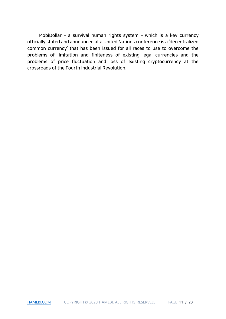MobiDollar – a survival human rights system – which is a key currency officially stated and announced at a United Nations conference is a 'decentralized common currency' that has been issued for all races to use to overcome the problems of limitation and finiteness of existing legal currencies and the problems of price fluctuation and loss of existing cryptocurrency at the crossroads of the Fourth Industrial Revolution.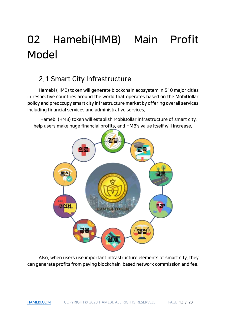## 02 Hamebi(HMB) Main Profit Model

## 2.1 Smart City Infrastructure

Hamebi (HMB) token will generate blockchain ecosystem in 510 major cities in respective countries around the world that operates based on the MobiDollar policy and preoccupy smart city infrastructure market by offering overall services including financial services and administrative services.

Hamebi (HMB) token will establish MobiDollar infrastructure of smart city, help users make huge financial profits, and HMB's value itself will increase.



Also, when users use important infrastructure elements of smart city, they can generate profits from paying blockchain-based network commission and fee.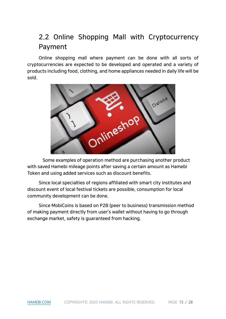## 2.2 Online Shopping Mall with Cryptocurrency Payment

Online shopping mall where payment can be done with all sorts of cryptocurrencies are expected to be developed and operated and a variety of products including food, clothing, and home appliances needed in daily life will be sold.



Some examples of operation method are purchasing another product with saved Hamebi mileage points after saving a certain amount as Hamebi Token and using added services such as discount benefits.

Since local specialties of regions affiliated with smart city institutes and discount event of local festival tickets are possible, consumption for local community development can be done.

Since MobiCoins is based on P2B (peer to business) transmission method of making payment directly from user's wallet without having to go through exchange market, safety is guaranteed from hacking.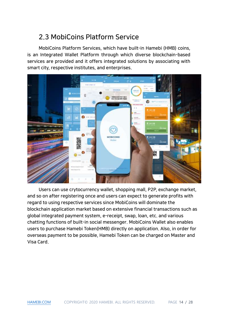## 2.3 MobiCoins Platform Service

MobiCoins Platform Services, which have built-in Hamebi (HMB) coins, is an Integrated Wallet Platform through which diverse blockchain-based services are provided and it offers integrated solutions by associating with smart city, respective institutes, and enterprises.



Users can use crytocurrency wallet, shopping mall, P2P, exchange market, and so on after registering once and users can expect to generate profits with regard to using respective services since MobiCoins will dominate the blockchain application market based on extensive financial transactions such as global integrated payment system, e-receipt, swap, loan, etc. and various chatting functions of built-in social messenger. MobiCoins Wallet also enables users to purchase Hamebi Token(HMB) directly on application. Also, in order for overseas payment to be possible, Hamebi Token can be charged on Master and Visa Card.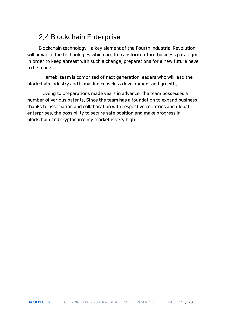## 2.4 Blockchain Enterprise

Blockchain technology – a key element of the Fourth Industrial Revolution – will advance the technologies which are to transform future business paradigm. In order to keep abreast with such a change, preparations for a new future have to be made.

Hamebi team is comprised of next generation leaders who will lead the blockchain industry and is making ceaseless development and growth.

Owing to preparations made years in advance, the team possesses a number of various patents. Since the team has a foundation to expand business thanks to association and collaboration with respective countries and global enterprises, the possibility to secure safe position and make progress in blockchain and cryptocurrency market is very high.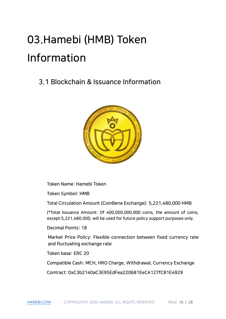## 03.Hamebi (HMB) Token Information

## 3.1 Blockchain & Issuance Information



Token Name: Hamebi Token

Token Symbol: HMB

Total Circulation Amount (CoinBene Exchange): 5,221,480,000 HMB

(\*Total Issuance Amount: Of 400,000,000,000 coins, the amount of coins, except 5,221,480,000, will be used for future policy support purposes only.

Decimal Points: 18

Market Price Policy: Flexible connection between fixed currency rate and fluctuating exchange rate

Token base: ERC 20

Compatible Cash: MCH, HRO Charge, Withdrawal, Currency Exchange

Contract: 0xC3b2140aC3E95EdFea220681EeCA127fC81E4929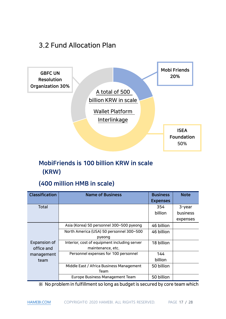## 3.2 Fund Allocation Plan



## MobiFriends is 100 billion KRW in scale (KRW)

## (400 million HMB in scale)

| <b>Classification</b> | <b>Name of Business</b>                      | <b>Business</b> | <b>Note</b> |
|-----------------------|----------------------------------------------|-----------------|-------------|
|                       |                                              | <b>Expenses</b> |             |
| Total                 |                                              | 354             | 3-year      |
|                       |                                              | billion         | business    |
|                       |                                              |                 | expenses    |
|                       | Asia (Korea) 50 personnel 300~500 pyeong     | 46 billion      |             |
|                       | North America (USA) 50 personnel 300~500     | 46 billion      |             |
|                       | pyeong                                       |                 |             |
| Expansion of          | Interior, cost of equipment including server | 18 billion      |             |
| office and            | maintenance, etc.                            |                 |             |
| management            | Personnel expenses for 100 personnel         | 144             |             |
| team                  |                                              | billion         |             |
|                       | Middle East / Africa Business Management     | 50 billion      |             |
|                       | Team                                         |                 |             |
|                       | <b>Europe Business Management Team</b>       | 50 billion      |             |

※ No problem in fulfillment so long as budget is secured by core team which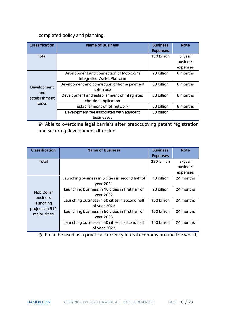#### completed policy and planning.

| <b>Classification</b>                        | <b>Name of Business</b>                                                      | <b>Business</b><br><b>Expenses</b> | <b>Note</b>                    |
|----------------------------------------------|------------------------------------------------------------------------------|------------------------------------|--------------------------------|
| Total                                        |                                                                              | 180 billion                        | 3-year<br>business<br>expenses |
| Development<br>and<br>establishment<br>tasks | Development and connection of MobiCoins<br><b>Integrated Wallet Platform</b> | 20 billion                         | 6 months                       |
|                                              | Development and connection of home payment<br>setup box                      | 30 billion                         | 6 months                       |
|                                              | Development and establishment of integrated<br>chatting application          | 30 billion                         | 6 months                       |
|                                              | Establishment of IoT network                                                 | 50 billion                         | 6 months                       |
|                                              | Development fee associated with adjacent                                     | 50 billion                         |                                |
|                                              | businesses                                                                   |                                    |                                |

※ Able to overcome legal barriers after preoccupying patent registration and securing development direction.

| <b>Classification</b>                                                         | <b>Name of Business</b>                          | <b>Business</b> | <b>Note</b> |
|-------------------------------------------------------------------------------|--------------------------------------------------|-----------------|-------------|
|                                                                               |                                                  | <b>Expenses</b> |             |
| Total                                                                         |                                                  | 330 billion     | 3-year      |
|                                                                               |                                                  |                 | business    |
|                                                                               |                                                  |                 | expenses    |
| MobiDollar<br><b>business</b><br>launching<br>projects in 510<br>major cities | Launching business in 5 cities in second half of | 10 billion      | 24 months   |
|                                                                               | year 2021                                        |                 |             |
|                                                                               | Launching business in 10 cities in first half of | 20 billion      | 24 months   |
|                                                                               | year 2022                                        |                 |             |
|                                                                               | Launching business in 50 cities in second half   | 100 billion     | 24 months   |
|                                                                               | of year 2022                                     |                 |             |
|                                                                               | Launching business in 50 cities in first half of | 100 billion     | 24 months   |
|                                                                               | year 2023                                        |                 |             |
|                                                                               | Launching business in 50 cities in second half   | 100 billion     | 24 months   |
|                                                                               | of year 2023                                     |                 |             |

※ It can be used as a practical currency in real economy around the world.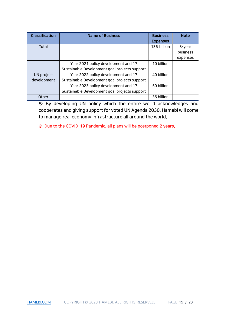| <b>Classification</b> | <b>Name of Business</b>                       | <b>Business</b> | <b>Note</b> |
|-----------------------|-----------------------------------------------|-----------------|-------------|
|                       |                                               | <b>Expenses</b> |             |
| Total                 |                                               | 136 billion     | 3-year      |
|                       |                                               |                 | business    |
|                       |                                               |                 | expenses    |
|                       | Year 2021 policy development and 17           | 10 billion      |             |
|                       | Sustainable Development goal projects support |                 |             |
| UN project            | Year 2022 policy development and 17           | 40 billion      |             |
| development           | Sustainable Development goal projects support |                 |             |
|                       | Year 2023 policy development and 17           | 50 billion      |             |
|                       | Sustainable Development goal projects support |                 |             |
| Other                 |                                               | 36 billion      |             |

※ By developing UN policy which the entire world acknowledges and cooperates and giving support for voted UN Agenda 2030, Hamebi will come to manage real economy infrastructure all around the world.

※ Due to the COVID-19 Pandemic, all plans will be postponed 2 years.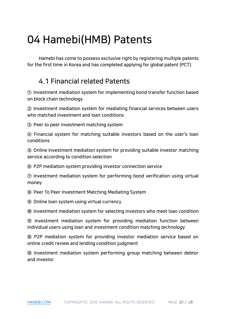## 04 Hamebi(HMB) Patents

Hamebi has come to possess exclusive right by registering multiple patents for the first time in Korea and has completed applying for global patent (PCT).

## 4.1 Financial related Patents

① Investment mediation system for implementing bond transfer function based on block chain technology

② Investment mediation system for mediating financial services between users who matched investment and loan conditions

③ Peer to peer investment matching system

④ Financial system for matching suitable investors based on the user's loan conditions

⑤ Online investment mediation system for providing suitable investor matching service according to condition selection

⑥ P2P mediation system providing investor connection service

⑦ Investment mediation system for performing bond verification using virtual money

⑧ Peer To Peer Investment Matching Mediating System

⑨ Online loan system using virtual currency

⑩ Investment mediation system for selecting investors who meet loan condition

⑪ Investment mediation system for providing mediation function between individual users using loan and investment condition matching technology

⑫ P2P mediation system for providing investor mediation service based on online credit review and lending condition judgment

⑬ Investment mediation system performing group matching between debtor and investor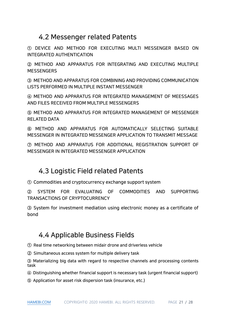## 4.2 Messenger related Patents

① DEVICE AND METHOD FOR EXECUTING MULTI MESSENGER BASED ON INTEGRATED AUTHENTICATION

② METHOD AND APPARATUS FOR INTEGRATING AND EXECUTING MULTIPLE **MESSENGERS** 

③ METHOD AND APPARATUS FOR COMBINING AND PROVIDING COMMUNICATION LISTS PERFORMED IN MULTIPLE INSTANT MESSENGER

④ METHOD AND APPARATUS FOR INTEGRATED MANAGEMENT OF MEESSAGES AND FILES RECEIVED FROM MULTIPLE MESSENGERS

⑤ METHOD AND APPARATUS FOR INTEGRATED MANAGEMENT OF MESSENGER RELATED DATA

⑥ METHOD AND APPARATUS FOR AUTOMATICALLY SELECTING SUITABLE MESSENGER IN INTEGRATED MESSENGER APPLICATION TO TRANSMIT MESSAGE

⑦ METHOD AND APPARATUS FOR ADDITIONAL REGISTRATION SUPPORT OF MESSENGER IN INTEGRATED MESSENGER APPLICATION

## 4.3 Logistic Field related Patents

① Commodities and cryptocurrency exchange support system

② SYSTEM FOR EVALUATING OF COMMODITIES AND SUPPORTING TRANSACTIONS OF CRYPTOCURRENCY

③ System for investment mediation using electronic money as a certificate of bond

## 4.4 Applicable Business Fields

① Real time networking between midair drone and driverless vehicle

② Simultaneous access system for multiple delivery task

③ Materializing big data with regard to respective channels and processing contents task

④ Distinguishing whether financial support is necessary task (urgent financial support)

⑤ Application for asset risk dispersion task (insurance, etc.)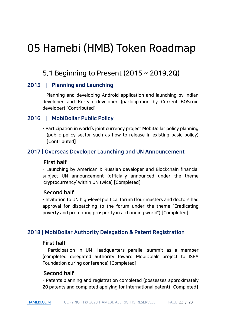## 05 Hamebi (HMB) Token Roadmap

## 5.1 Beginning to Present (2015 ~ 2019.2Q)

## 2015 | Planning and Launching

- Planning and developing Android application and launching by Indian developer and Korean developer (participation by Current BOScoin developer) [Contributed]

## 2016 | MobiDollar Public Policy

- Participation in world's joint currency project MobiDollar policy planning (public policy sector such as how to release in existing basic policy) [Contributed]

### 2017 | Overseas Developer Launching and UN Announcement

#### First half

- Launching by American & Russian developer and Blockchain financial subject UN announcement (officially announced under the theme 'cryptocurrency' within UN twice) [Completed]

#### Second half

- Invitation to UN high-level political forum (four masters and doctors had approval for dispatching to the forum under the theme "Eradicating poverty and promoting prosperity in a changing world") [Completed]

## 2018 | MobiDollar Authority Delegation & Patent Registration

#### First half

- Participation in UN Headquarters parallel summit as a member (completed delegated authority toward MobiDolalr project to ISEA Foundation during conference) [Completed]

#### Second half

- Patents planning and registration completed (possesses approximately 20 patents and completed applying for international patent) [Completed]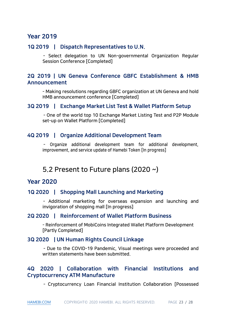## Year 2019

### 1Q 2019 | Dispatch Representatives to U.N.

- Select delegation to UN Non-governmental Organization Regular Session Conference [Completed]

## 2Q 2019 | UN Geneva Conference GBFC Establishment & HMB Announcement

- Making resolutions regarding GBFC organization at UN Geneva and hold HMB announcement conference [Completed]

#### 3Q 2019 | Exchange Market List Test & Wallet Platform Setup

- One of the world top 10 Exchange Market Listing Test and P2P Module set-up on Wallet Platform [Completed]

### 4Q 2019 | Organize Additional Development Team

- Organize additional development team for additional development, improvement, and service update of Hamebi Token [In progress]

## 5.2 Present to Future plans (2020 ~)

## Year 2020

#### 1Q 2020 | Shopping Mall Launching and Marketing

- Additional marketing for overseas expansion and launching and invigoration of shopping mall [In progress]

### 2Q 2020 | Reinforcement of Wallet Platform Business

- Reinforcement of MobiCoins Integrated Wallet Platform Development [Partly Completed]

#### 3Q 2020 | UN Human Rights Council Linkage

- Due to the COVID-19 Pandemic, Visual meetings were proceeded and written statements have been submitted.

## 4Q 2020 | Collaboration with Financial Institutions and Cryptocurrency ATM Manufacture

- Cryptocurrency Loan Financial Institution Collaboration [Possessed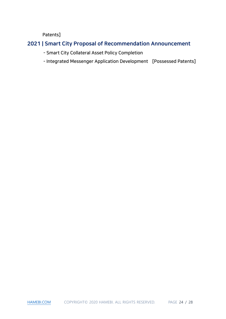Patents]

## 2021 | Smart City Proposal of Recommendation Announcement

- Smart City Collateral Asset Policy Completion
- Integrated Messenger Application Development [Possessed Patents]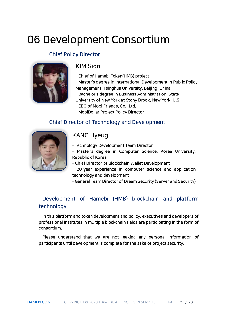## 06 Development Consortium

## Chief Policy Director



## KIM Sion

- Chief of Hamebi Token(HMB) project
- Master's degree in International Development in Public Policy Management, Tsinghua University, Beijing, China
- Bachelor's degree in Business Administration, State
- University of New York at Stony Brook, New York, U.S.
- CEO of Mobi Friends. Co., Ltd.
- MobiDollar Project Policy Director

## - Chief Director of Technology and Development



## KANG Hyeug

- Technology Development Team Director
- Master's degree in Computer Science, Korea University, Republic of Korea
- Chief Director of Blockchain Wallet Development
- 20-year experience in computer science and application technology and development
- General Team Director of Dream Security (Server and Security)

## Development of Hamebi (HMB) blockchain and platform technology

In this platform and token development and policy, executives and developers of professional institutes in multiple blockchain fields are participating in the form of consortium.

Please understand that we are not leaking any personal information of participants until development is complete for the sake of project security.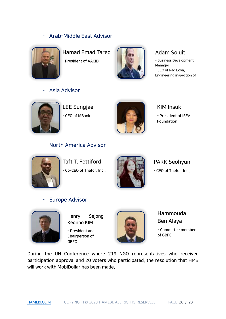## - Arab-Middle East Advisor



Hamad Emad Tareq - President of AACID



## Adam Soluit

- Business Development Manager - CEO of Rad Econ, Engineering inspection of

## Asia Advisor



LEE Sungjae - CEO of MBank



### KIM Insuk

- President of ISEA Foundation

## - North America Advisor



Taft T. Fettiford - Co-CEO of Thefor. Inc.,



## PARK Seohyun

- CEO of Thefor. Inc.,

## Europe Advisor



Henry Sejong Keonho KIM

- President and Chairperson of **GBFC** 



Hammouda Ben Alaya - Committee member of GBFC

During the UN Conference where 219 NGO representatives who received participation approval and 20 voters who participated, the resolution that HMB will work with MobiDollar has been made.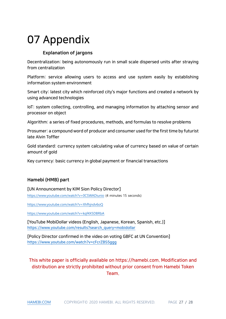## 07 Appendix

#### Explanation of jargons

Decentralization: being autonomously run in small scale dispersed units after straying from centralization

Platform: service allowing users to access and use system easily by establishing information system environment

Smart city: latest city which reinforced city's major functions and created a network by using advanced technologies

IoT: system collecting, controlling, and managing information by attaching sensor and processor on object

Algorithm: a series of fixed procedures, methods, and formulas to resolve problems

Prosumer: a compound word of producer and consumer used for the first time by futurist late Alvin Toffler

Gold standard: currency system calculating value of currency based on value of certain amount of gold

Key currency: basic currency in global payment or financial transactions

#### Hamebi (HMB) part

[UN Announcement by KIM Sion Policy Director] <https://www.youtube.com/watch?v=0CSWADiunio> (4 minutes 15 seconds)

<https://www.youtube.com/watch?v=Xhfhjndv6oQ>

<https://www.youtube.com/watch?v=kqf4X5DBRbA>

[YouTube MobiDollar videos (English, Japanese, Korean, Spanish, etc.)] [https://www.youtube.com/results?search\\_query=mobidollar](https://www.youtube.com/results?search_query=mobidollar)

[Policy Director confirmed in the video on voting GBFC at UN Convention] <https://www.youtube.com/watch?v=cFcrZBS5ggg>

This white paper is officially available on https://hamebi.com. Modification and distribution are strictly prohibited without prior consent from Hamebi Token Team.